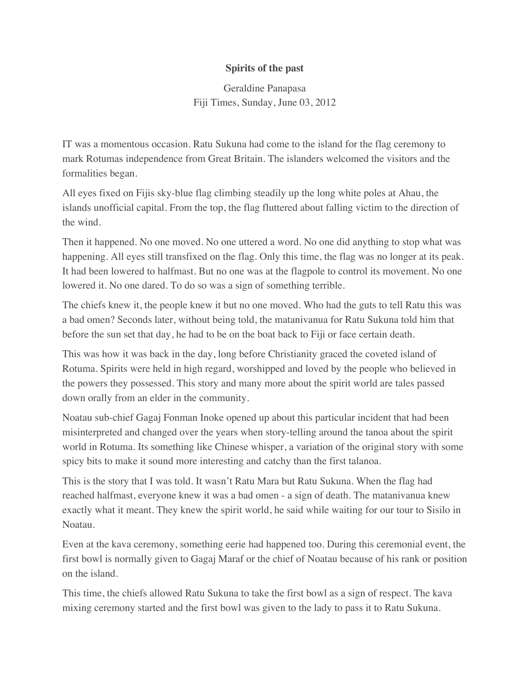## **Spirits of the past**

Geraldine Panapasa Fiji Times, Sunday, June 03, 2012

IT was a momentous occasion. Ratu Sukuna had come to the island for the flag ceremony to mark Rotumas independence from Great Britain. The islanders welcomed the visitors and the formalities began.

All eyes fixed on Fijis sky-blue flag climbing steadily up the long white poles at Ahau, the islands unofficial capital. From the top, the flag fluttered about falling victim to the direction of the wind.

Then it happened. No one moved. No one uttered a word. No one did anything to stop what was happening. All eyes still transfixed on the flag. Only this time, the flag was no longer at its peak. It had been lowered to halfmast. But no one was at the flagpole to control its movement. No one lowered it. No one dared. To do so was a sign of something terrible.

The chiefs knew it, the people knew it but no one moved. Who had the guts to tell Ratu this was a bad omen? Seconds later, without being told, the matanivanua for Ratu Sukuna told him that before the sun set that day, he had to be on the boat back to Fiji or face certain death.

This was how it was back in the day, long before Christianity graced the coveted island of Rotuma. Spirits were held in high regard, worshipped and loved by the people who believed in the powers they possessed. This story and many more about the spirit world are tales passed down orally from an elder in the community.

Noatau sub-chief Gagaj Fonman Inoke opened up about this particular incident that had been misinterpreted and changed over the years when story-telling around the tanoa about the spirit world in Rotuma. Its something like Chinese whisper, a variation of the original story with some spicy bits to make it sound more interesting and catchy than the first talanoa.

This is the story that I was told. It wasn't Ratu Mara but Ratu Sukuna. When the flag had reached halfmast, everyone knew it was a bad omen - a sign of death. The matanivanua knew exactly what it meant. They knew the spirit world, he said while waiting for our tour to Sisilo in Noatau.

Even at the kava ceremony, something eerie had happened too. During this ceremonial event, the first bowl is normally given to Gagaj Maraf or the chief of Noatau because of his rank or position on the island.

This time, the chiefs allowed Ratu Sukuna to take the first bowl as a sign of respect. The kava mixing ceremony started and the first bowl was given to the lady to pass it to Ratu Sukuna.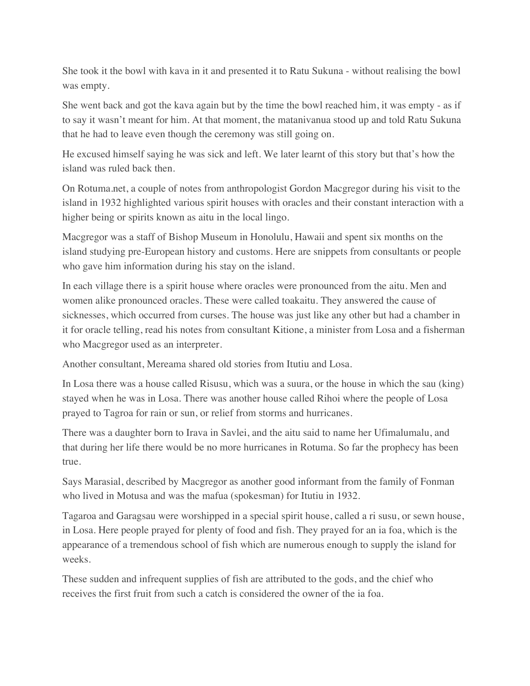She took it the bowl with kava in it and presented it to Ratu Sukuna - without realising the bowl was empty.

She went back and got the kava again but by the time the bowl reached him, it was empty - as if to say it wasn't meant for him. At that moment, the matanivanua stood up and told Ratu Sukuna that he had to leave even though the ceremony was still going on.

He excused himself saying he was sick and left. We later learnt of this story but that's how the island was ruled back then.

On Rotuma.net, a couple of notes from anthropologist Gordon Macgregor during his visit to the island in 1932 highlighted various spirit houses with oracles and their constant interaction with a higher being or spirits known as aitu in the local lingo.

Macgregor was a staff of Bishop Museum in Honolulu, Hawaii and spent six months on the island studying pre-European history and customs. Here are snippets from consultants or people who gave him information during his stay on the island.

In each village there is a spirit house where oracles were pronounced from the aitu. Men and women alike pronounced oracles. These were called toakaitu. They answered the cause of sicknesses, which occurred from curses. The house was just like any other but had a chamber in it for oracle telling, read his notes from consultant Kitione, a minister from Losa and a fisherman who Macgregor used as an interpreter.

Another consultant, Mereama shared old stories from Itutiu and Losa.

In Losa there was a house called Risusu, which was a suura, or the house in which the sau (king) stayed when he was in Losa. There was another house called Rihoi where the people of Losa prayed to Tagroa for rain or sun, or relief from storms and hurricanes.

There was a daughter born to Irava in Savlei, and the aitu said to name her Ufimalumalu, and that during her life there would be no more hurricanes in Rotuma. So far the prophecy has been true.

Says Marasial, described by Macgregor as another good informant from the family of Fonman who lived in Motusa and was the mafua (spokesman) for Itutiu in 1932.

Tagaroa and Garagsau were worshipped in a special spirit house, called a ri susu, or sewn house, in Losa. Here people prayed for plenty of food and fish. They prayed for an ia foa, which is the appearance of a tremendous school of fish which are numerous enough to supply the island for weeks.

These sudden and infrequent supplies of fish are attributed to the gods, and the chief who receives the first fruit from such a catch is considered the owner of the ia foa.